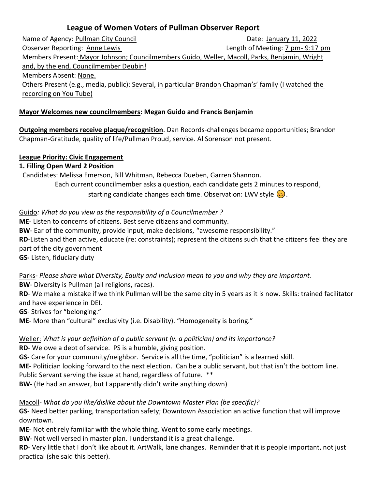# **League of Women Voters of Pullman Observer Report**

Name of Agency: Pullman City Council **Name of Agency**: Pullman City Council **Date: January 11, 2022** Observer Reporting: Anne Lewis Length of Meeting: 7 pm- 9:17 pm Members Present: Mayor Johnson; Councilmembers Guido, Weller, Macoll, Parks, Benjamin, Wright and, by the end, Councilmember Deubin! Members Absent: None. Others Present (e.g., media, public): Several, in particular Brandon Chapman's' family (I watched the recording on You Tube)

# **Mayor Welcomes new councilmembers: Megan Guido and Francis Benjamin**

**Outgoing members receive plaque/recognition**. Dan Records-challenges became opportunities; Brandon Chapman-Gratitude, quality of life/Pullman Proud, service. Al Sorenson not present.

### **League Priority: Civic Engagement**

### **1. Filling Open Ward 2 Position**

 Candidates: Melissa Emerson, Bill Whitman, Rebecca Dueben, Garren Shannon. Each current councilmember asks a question, each candidate gets 2 minutes to respond, starting candidate changes each time. Observation: LWV style  $\circled{c}$ .

Guido*: What do you view as the responsibility of a Councilmember ?* **ME**- Listen to concerns of citizens. Best serve citizens and community. **BW**- Ear of the community, provide input, make decisions, "awesome responsibility."

**RD**-Listen and then active, educate (re: constraints); represent the citizens such that the citizens feel they are part of the city government

**GS-** Listen, fiduciary duty

Parks- *Please share what Diversity, Equity and Inclusion mean to you and why they are important.* **BW**- Diversity is Pullman (all religions, races).

**RD**- We make a mistake if we think Pullman will be the same city in 5 years as it is now. Skills: trained facilitator and have experience in DEI.

**GS**- Strives for "belonging."

**ME**- More than "cultural" exclusivity (i.e. Disability). "Homogeneity is boring."

Weller: *What is your definition of a public servant (v. a politician) and its importance?*

**RD**- We owe a debt of service. PS is a humble, giving position.

**GS**- Care for your community/neighbor. Service is all the time, "politician" is a learned skill.

**ME**- Politician looking forward to the next election. Can be a public servant, but that isn't the bottom line.

Public Servant serving the issue at hand, regardless of future. \*\*

**BW**- (He had an answer, but I apparently didn't write anything down)

Macoll- *What do you like/dislike about the Downtown Master Plan (be specific)?*

**GS**- Need better parking, transportation safety; Downtown Association an active function that will improve downtown.

**ME**- Not entirely familiar with the whole thing. Went to some early meetings.

**BW**- Not well versed in master plan. I understand it is a great challenge.

**RD**- Very little that I don't like about it. ArtWalk, lane changes. Reminder that it is people important, not just practical (she said this better).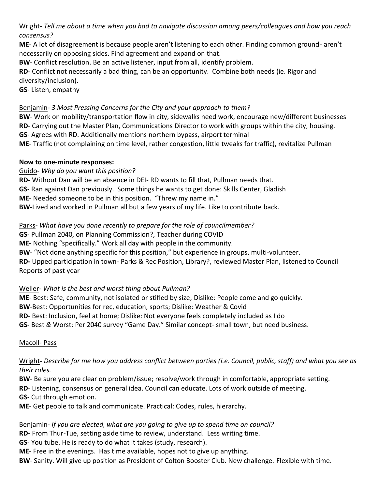Wright- *Tell me about a time when you had to navigate discussion among peers/colleagues and how you reach consensus?*

**ME**- A lot of disagreement is because people aren't listening to each other. Finding common ground- aren't necessarily on opposing sides. Find agreement and expand on that.

**BW**- Conflict resolution. Be an active listener, input from all, identify problem.

**RD**- Conflict not necessarily a bad thing, can be an opportunity. Combine both needs (ie. Rigor and diversity/inclusion).

**GS**- Listen, empathy

## Benjamin- *3 Most Pressing Concerns for the City and your approach to them?*

**BW**- Work on mobility/transportation flow in city, sidewalks need work, encourage new/different businesses **RD**- Carrying out the Master Plan, Communications Director to work with groups within the city, housing. **GS**- Agrees with RD. Additionally mentions northern bypass, airport terminal **ME**- Traffic (not complaining on time level, rather congestion, little tweaks for traffic), revitalize Pullman

### **Now to one-minute responses:**

# Guido- *Why do you want this position?*

**RD-** Without Dan will be an absence in DEI- RD wants to fill that, Pullman needs that.

**GS**- Ran against Dan previously. Some things he wants to get done: Skills Center, Gladish

**ME**- Needed someone to be in this position. "Threw my name in."

**BW**-Lived and worked in Pullman all but a few years of my life. Like to contribute back.

# Parks- *What have you done recently to prepare for the role of councilmember?*

**GS**- Pullman 2040, on Planning Commission?, Teacher during COVID

**ME-** Nothing "specifically." Work all day with people in the community.

**BW**- "Not done anything specific for this position," but experience in groups, multi-volunteer.

**RD-** Upped participation in town- Parks & Rec Position, Library?, reviewed Master Plan, listened to Council Reports of past year

# Weller- *What is the best and worst thing about Pullman?*

**ME**- Best: Safe, community, not isolated or stifled by size; Dislike: People come and go quickly. **BW**-Best: Opportunities for rec, education, sports; Dislike: Weather & Covid **RD**- Best: Inclusion, feel at home; Dislike: Not everyone feels completely included as I do **GS-** Best *&* Worst: Per 2040 survey "Game Day." Similar concept- small town, but need business.

# Macoll- Pass

Wright**-** *Describe for me how you address conflict between parties (i.e. Council, public, staff) and what you see as their roles.*

**BW**- Be sure you are clear on problem/issue; resolve/work through in comfortable, appropriate setting.

**RD**- Listening, consensus on general idea. Council can educate. Lots of work outside of meeting.

**GS**- Cut through emotion.

**ME**- Get people to talk and communicate. Practical: Codes, rules, hierarchy.

# Benjamin- *If you are elected, what are you going to give up to spend time on council?*

**RD-** From Thur-Tue, setting aside time to review, understand. Less writing time.

**GS**- You tube. He is ready to do what it takes (study, research).

**ME**- Free in the evenings. Has time available, hopes not to give up anything.

**BW**- Sanity. Will give up position as President of Colton Booster Club. New challenge. Flexible with time.